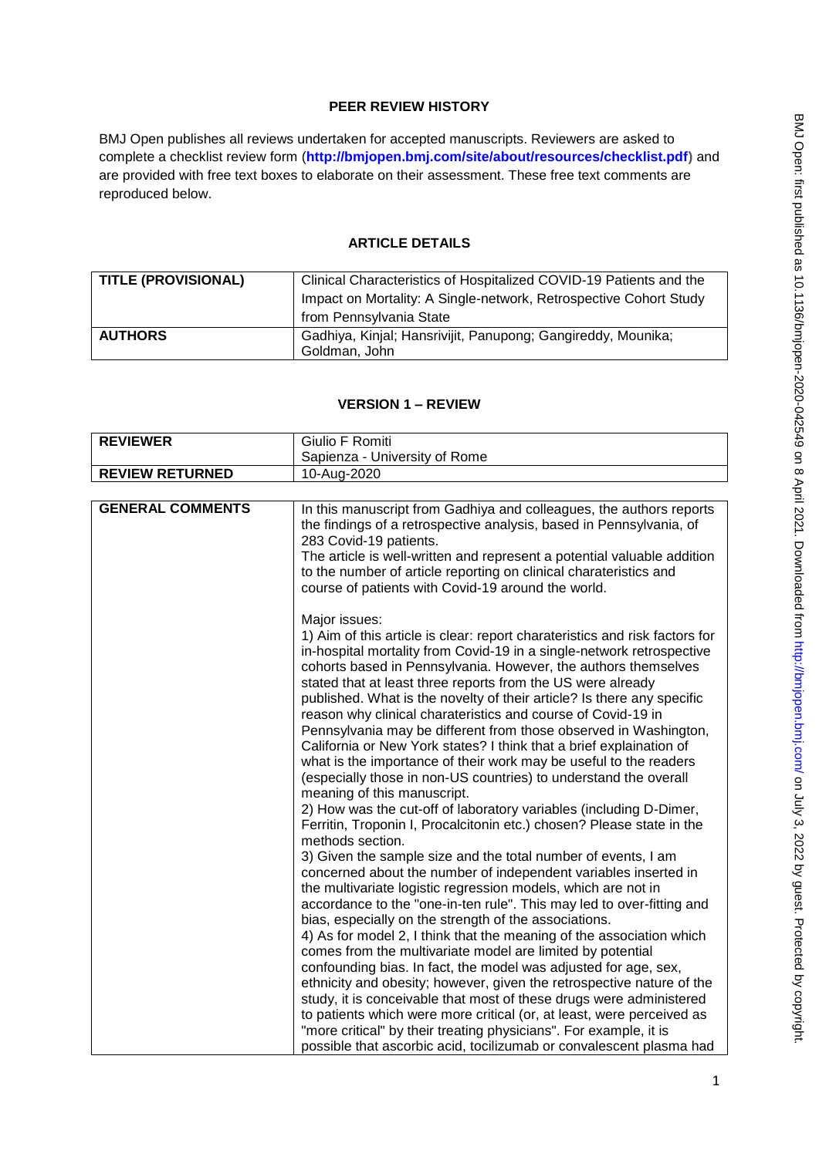# **PEER REVIEW HISTORY**

BMJ Open publishes all reviews undertaken for accepted manuscripts. Reviewers are asked to complete a checklist review form (**[http://bmjopen.bmj.com/site/about/resources/checklist.pdf\)](http://bmjopen.bmj.com/site/about/resources/checklist.pdf)** and are provided with free text boxes to elaborate on their assessment. These free text comments are reproduced below.

## **ARTICLE DETAILS**

| TITLE (PROVISIONAL) | Clinical Characteristics of Hospitalized COVID-19 Patients and the<br>Impact on Mortality: A Single-network, Retrospective Cohort Study |
|---------------------|-----------------------------------------------------------------------------------------------------------------------------------------|
|                     | from Pennsylvania State                                                                                                                 |
| <b>AUTHORS</b>      | Gadhiya, Kinjal; Hansrivijit, Panupong; Gangireddy, Mounika;<br>Goldman, John                                                           |

## **VERSION 1 – REVIEW**

| <b>REVIEWER</b>         | Giulio F Romiti                                                                                                                                                                                                                                                                                                                                                                                                                                                                                                                                                                                                                                                                                                                                                                                                                                                                                                                        |
|-------------------------|----------------------------------------------------------------------------------------------------------------------------------------------------------------------------------------------------------------------------------------------------------------------------------------------------------------------------------------------------------------------------------------------------------------------------------------------------------------------------------------------------------------------------------------------------------------------------------------------------------------------------------------------------------------------------------------------------------------------------------------------------------------------------------------------------------------------------------------------------------------------------------------------------------------------------------------|
|                         |                                                                                                                                                                                                                                                                                                                                                                                                                                                                                                                                                                                                                                                                                                                                                                                                                                                                                                                                        |
| <b>REVIEW RETURNED</b>  | Sapienza - University of Rome                                                                                                                                                                                                                                                                                                                                                                                                                                                                                                                                                                                                                                                                                                                                                                                                                                                                                                          |
|                         | 10-Aug-2020                                                                                                                                                                                                                                                                                                                                                                                                                                                                                                                                                                                                                                                                                                                                                                                                                                                                                                                            |
|                         |                                                                                                                                                                                                                                                                                                                                                                                                                                                                                                                                                                                                                                                                                                                                                                                                                                                                                                                                        |
| <b>GENERAL COMMENTS</b> | In this manuscript from Gadhiya and colleagues, the authors reports<br>the findings of a retrospective analysis, based in Pennsylvania, of<br>283 Covid-19 patients.<br>The article is well-written and represent a potential valuable addition<br>to the number of article reporting on clinical charateristics and<br>course of patients with Covid-19 around the world.                                                                                                                                                                                                                                                                                                                                                                                                                                                                                                                                                             |
|                         | Major issues:<br>1) Aim of this article is clear: report charateristics and risk factors for<br>in-hospital mortality from Covid-19 in a single-network retrospective<br>cohorts based in Pennsylvania. However, the authors themselves<br>stated that at least three reports from the US were already<br>published. What is the novelty of their article? Is there any specific<br>reason why clinical charateristics and course of Covid-19 in<br>Pennsylvania may be different from those observed in Washington,<br>California or New York states? I think that a brief explaination of<br>what is the importance of their work may be useful to the readers<br>(especially those in non-US countries) to understand the overall<br>meaning of this manuscript.<br>2) How was the cut-off of laboratory variables (including D-Dimer,<br>Ferritin, Troponin I, Procalcitonin etc.) chosen? Please state in the<br>methods section. |
|                         | 3) Given the sample size and the total number of events, I am<br>concerned about the number of independent variables inserted in<br>the multivariate logistic regression models, which are not in<br>accordance to the "one-in-ten rule". This may led to over-fitting and<br>bias, especially on the strength of the associations.<br>4) As for model 2, I think that the meaning of the association which<br>comes from the multivariate model are limited by potential<br>confounding bias. In fact, the model was adjusted for age, sex,<br>ethnicity and obesity; however, given the retrospective nature of the<br>study, it is conceivable that most of these drugs were administered                                                                                                                                                                                                                                           |
|                         | to patients which were more critical (or, at least, were perceived as<br>"more critical" by their treating physicians". For example, it is<br>possible that ascorbic acid, tocilizumab or convalescent plasma had                                                                                                                                                                                                                                                                                                                                                                                                                                                                                                                                                                                                                                                                                                                      |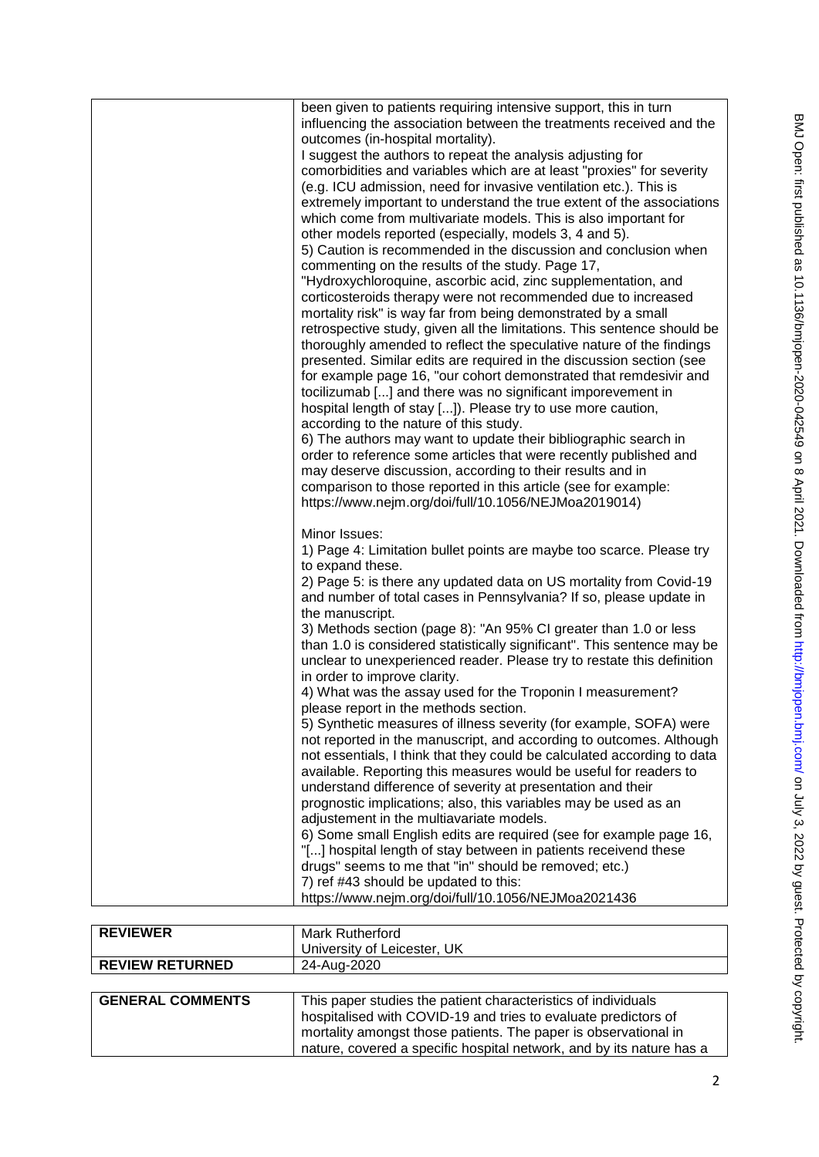| been given to patients requiring intensive support, this in turn<br>influencing the association between the treatments received and the<br>outcomes (in-hospital mortality).<br>I suggest the authors to repeat the analysis adjusting for<br>comorbidities and variables which are at least "proxies" for severity<br>(e.g. ICU admission, need for invasive ventilation etc.). This is<br>extremely important to understand the true extent of the associations<br>which come from multivariate models. This is also important for<br>other models reported (especially, models 3, 4 and 5).<br>5) Caution is recommended in the discussion and conclusion when<br>commenting on the results of the study. Page 17,<br>"Hydroxychloroquine, ascorbic acid, zinc supplementation, and<br>corticosteroids therapy were not recommended due to increased<br>mortality risk" is way far from being demonstrated by a small<br>retrospective study, given all the limitations. This sentence should be<br>thoroughly amended to reflect the speculative nature of the findings<br>presented. Similar edits are required in the discussion section (see<br>for example page 16, "our cohort demonstrated that remdesivir and<br>tocilizumab [] and there was no significant imporevement in<br>hospital length of stay []). Please try to use more caution,<br>according to the nature of this study.<br>6) The authors may want to update their bibliographic search in<br>order to reference some articles that were recently published and<br>may deserve discussion, according to their results and in<br>comparison to those reported in this article (see for example:<br>https://www.nejm.org/doi/full/10.1056/NEJMoa2019014) |
|----------------------------------------------------------------------------------------------------------------------------------------------------------------------------------------------------------------------------------------------------------------------------------------------------------------------------------------------------------------------------------------------------------------------------------------------------------------------------------------------------------------------------------------------------------------------------------------------------------------------------------------------------------------------------------------------------------------------------------------------------------------------------------------------------------------------------------------------------------------------------------------------------------------------------------------------------------------------------------------------------------------------------------------------------------------------------------------------------------------------------------------------------------------------------------------------------------------------------------------------------------------------------------------------------------------------------------------------------------------------------------------------------------------------------------------------------------------------------------------------------------------------------------------------------------------------------------------------------------------------------------------------------------------------------------------------------------------------------------|
| Minor Issues:<br>1) Page 4: Limitation bullet points are maybe too scarce. Please try<br>to expand these.<br>2) Page 5: is there any updated data on US mortality from Covid-19<br>and number of total cases in Pennsylvania? If so, please update in<br>the manuscript.<br>3) Methods section (page 8): "An 95% CI greater than 1.0 or less<br>than 1.0 is considered statistically significant". This sentence may be<br>unclear to unexperienced reader. Please try to restate this definition<br>in order to improve clarity.<br>4) What was the assay used for the Troponin I measurement?<br>please report in the methods section.<br>5) Synthetic measures of illness severity (for example, SOFA) were<br>not reported in the manuscript, and according to outcomes. Although<br>not essentials, I think that they could be calculated according to data<br>available. Reporting this measures would be useful for readers to<br>understand difference of severity at presentation and their<br>prognostic implications; also, this variables may be used as an<br>adjustement in the multiavariate models.<br>6) Some small English edits are required (see for example page 16,<br>"[] hospital length of stay between in patients receivend these<br>drugs" seems to me that "in" should be removed; etc.)<br>7) ref #43 should be updated to this:<br>https://www.nejm.org/doi/full/10.1056/NEJMoa2021436                                                                                                                                                                                                                                                                                                            |

| <b>REVIEWER</b>         | <b>Mark Rutherford</b>                                               |
|-------------------------|----------------------------------------------------------------------|
|                         | University of Leicester, UK                                          |
| <b>REVIEW RETURNED</b>  | 24-Aug-2020                                                          |
|                         |                                                                      |
| <b>GENERAL COMMENTS</b> | This paper studies the patient characteristics of individuals        |
|                         | hospitalised with COVID-19 and tries to evaluate predictors of       |
|                         | mortality amongst those patients. The paper is observational in      |
|                         | nature, covered a specific hospital network, and by its nature has a |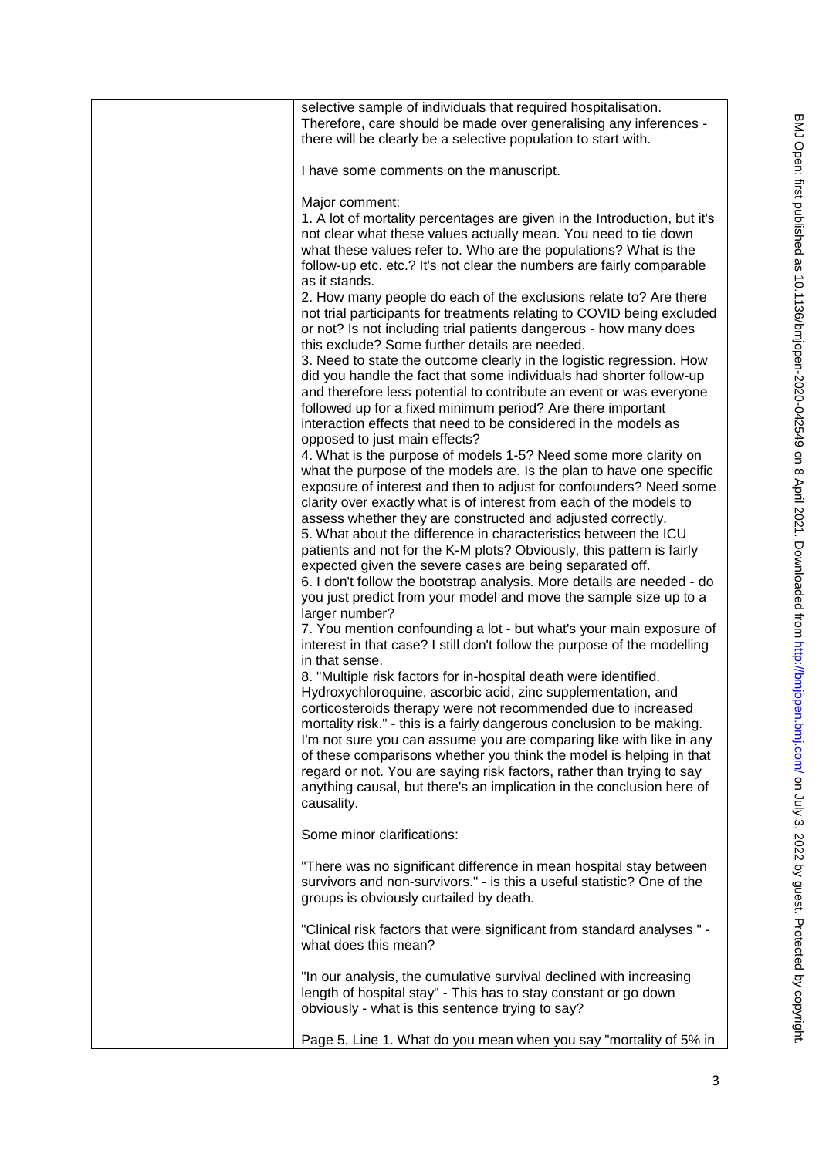| selective sample of individuals that required hospitalisation.<br>Therefore, care should be made over generalising any inferences -<br>there will be clearly be a selective population to start with.                                                                                                                                                                                                                                                                                                                                                                                                                                                                                                                                                                                                                                                                                                                                                                                                                                                                                                                                                                                                                                                                                                                                                                                                                                                                                                                                                                                                                                                                                                                                                                                                                                                                                                                                                                                                                                                                                                                                                                                                                                                                                                                                                                                                                                                                           |
|---------------------------------------------------------------------------------------------------------------------------------------------------------------------------------------------------------------------------------------------------------------------------------------------------------------------------------------------------------------------------------------------------------------------------------------------------------------------------------------------------------------------------------------------------------------------------------------------------------------------------------------------------------------------------------------------------------------------------------------------------------------------------------------------------------------------------------------------------------------------------------------------------------------------------------------------------------------------------------------------------------------------------------------------------------------------------------------------------------------------------------------------------------------------------------------------------------------------------------------------------------------------------------------------------------------------------------------------------------------------------------------------------------------------------------------------------------------------------------------------------------------------------------------------------------------------------------------------------------------------------------------------------------------------------------------------------------------------------------------------------------------------------------------------------------------------------------------------------------------------------------------------------------------------------------------------------------------------------------------------------------------------------------------------------------------------------------------------------------------------------------------------------------------------------------------------------------------------------------------------------------------------------------------------------------------------------------------------------------------------------------------------------------------------------------------------------------------------------------|
| I have some comments on the manuscript.                                                                                                                                                                                                                                                                                                                                                                                                                                                                                                                                                                                                                                                                                                                                                                                                                                                                                                                                                                                                                                                                                                                                                                                                                                                                                                                                                                                                                                                                                                                                                                                                                                                                                                                                                                                                                                                                                                                                                                                                                                                                                                                                                                                                                                                                                                                                                                                                                                         |
| Major comment:<br>1. A lot of mortality percentages are given in the Introduction, but it's<br>not clear what these values actually mean. You need to tie down<br>what these values refer to. Who are the populations? What is the<br>follow-up etc. etc.? It's not clear the numbers are fairly comparable<br>as it stands.<br>2. How many people do each of the exclusions relate to? Are there<br>not trial participants for treatments relating to COVID being excluded<br>or not? Is not including trial patients dangerous - how many does<br>this exclude? Some further details are needed.<br>3. Need to state the outcome clearly in the logistic regression. How<br>did you handle the fact that some individuals had shorter follow-up<br>and therefore less potential to contribute an event or was everyone<br>followed up for a fixed minimum period? Are there important<br>interaction effects that need to be considered in the models as<br>opposed to just main effects?<br>4. What is the purpose of models 1-5? Need some more clarity on<br>what the purpose of the models are. Is the plan to have one specific<br>exposure of interest and then to adjust for confounders? Need some<br>clarity over exactly what is of interest from each of the models to<br>assess whether they are constructed and adjusted correctly.<br>5. What about the difference in characteristics between the ICU<br>patients and not for the K-M plots? Obviously, this pattern is fairly<br>expected given the severe cases are being separated off.<br>6. I don't follow the bootstrap analysis. More details are needed - do<br>you just predict from your model and move the sample size up to a<br>larger number?<br>7. You mention confounding a lot - but what's your main exposure of<br>interest in that case? I still don't follow the purpose of the modelling<br>in that sense.<br>8. "Multiple risk factors for in-hospital death were identified.<br>Hydroxychloroquine, ascorbic acid, zinc supplementation, and<br>corticosteroids therapy were not recommended due to increased<br>mortality risk." - this is a fairly dangerous conclusion to be making.<br>I'm not sure you can assume you are comparing like with like in any<br>of these comparisons whether you think the model is helping in that<br>regard or not. You are saying risk factors, rather than trying to say<br>anything causal, but there's an implication in the conclusion here of |
| causality.                                                                                                                                                                                                                                                                                                                                                                                                                                                                                                                                                                                                                                                                                                                                                                                                                                                                                                                                                                                                                                                                                                                                                                                                                                                                                                                                                                                                                                                                                                                                                                                                                                                                                                                                                                                                                                                                                                                                                                                                                                                                                                                                                                                                                                                                                                                                                                                                                                                                      |
| Some minor clarifications:                                                                                                                                                                                                                                                                                                                                                                                                                                                                                                                                                                                                                                                                                                                                                                                                                                                                                                                                                                                                                                                                                                                                                                                                                                                                                                                                                                                                                                                                                                                                                                                                                                                                                                                                                                                                                                                                                                                                                                                                                                                                                                                                                                                                                                                                                                                                                                                                                                                      |
| "There was no significant difference in mean hospital stay between<br>survivors and non-survivors." - is this a useful statistic? One of the<br>groups is obviously curtailed by death.                                                                                                                                                                                                                                                                                                                                                                                                                                                                                                                                                                                                                                                                                                                                                                                                                                                                                                                                                                                                                                                                                                                                                                                                                                                                                                                                                                                                                                                                                                                                                                                                                                                                                                                                                                                                                                                                                                                                                                                                                                                                                                                                                                                                                                                                                         |
| "Clinical risk factors that were significant from standard analyses " -<br>what does this mean?                                                                                                                                                                                                                                                                                                                                                                                                                                                                                                                                                                                                                                                                                                                                                                                                                                                                                                                                                                                                                                                                                                                                                                                                                                                                                                                                                                                                                                                                                                                                                                                                                                                                                                                                                                                                                                                                                                                                                                                                                                                                                                                                                                                                                                                                                                                                                                                 |
| "In our analysis, the cumulative survival declined with increasing<br>length of hospital stay" - This has to stay constant or go down<br>obviously - what is this sentence trying to say?                                                                                                                                                                                                                                                                                                                                                                                                                                                                                                                                                                                                                                                                                                                                                                                                                                                                                                                                                                                                                                                                                                                                                                                                                                                                                                                                                                                                                                                                                                                                                                                                                                                                                                                                                                                                                                                                                                                                                                                                                                                                                                                                                                                                                                                                                       |
| Page 5. Line 1. What do you mean when you say "mortality of 5% in                                                                                                                                                                                                                                                                                                                                                                                                                                                                                                                                                                                                                                                                                                                                                                                                                                                                                                                                                                                                                                                                                                                                                                                                                                                                                                                                                                                                                                                                                                                                                                                                                                                                                                                                                                                                                                                                                                                                                                                                                                                                                                                                                                                                                                                                                                                                                                                                               |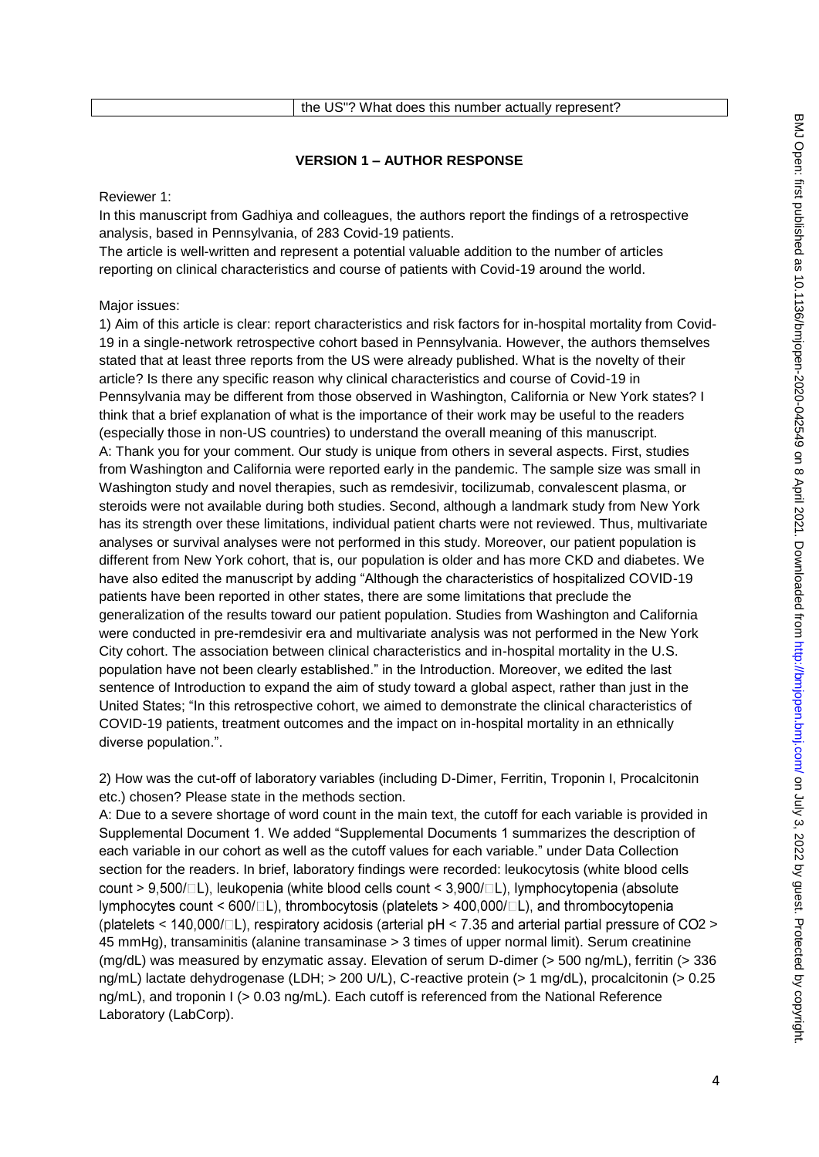| the US"? What does this number actually represent? |  |
|----------------------------------------------------|--|
|----------------------------------------------------|--|

## **VERSION 1 – AUTHOR RESPONSE**

Reviewer 1:

In this manuscript from Gadhiya and colleagues, the authors report the findings of a retrospective analysis, based in Pennsylvania, of 283 Covid-19 patients.

The article is well-written and represent a potential valuable addition to the number of articles reporting on clinical characteristics and course of patients with Covid-19 around the world.

### Major issues:

1) Aim of this article is clear: report characteristics and risk factors for in-hospital mortality from Covid-19 in a single-network retrospective cohort based in Pennsylvania. However, the authors themselves stated that at least three reports from the US were already published. What is the novelty of their article? Is there any specific reason why clinical characteristics and course of Covid-19 in Pennsylvania may be different from those observed in Washington, California or New York states? I think that a brief explanation of what is the importance of their work may be useful to the readers (especially those in non-US countries) to understand the overall meaning of this manuscript. A: Thank you for your comment. Our study is unique from others in several aspects. First, studies from Washington and California were reported early in the pandemic. The sample size was small in Washington study and novel therapies, such as remdesivir, tocilizumab, convalescent plasma, or steroids were not available during both studies. Second, although a landmark study from New York has its strength over these limitations, individual patient charts were not reviewed. Thus, multivariate analyses or survival analyses were not performed in this study. Moreover, our patient population is different from New York cohort, that is, our population is older and has more CKD and diabetes. We have also edited the manuscript by adding "Although the characteristics of hospitalized COVID-19 patients have been reported in other states, there are some limitations that preclude the generalization of the results toward our patient population. Studies from Washington and California were conducted in pre-remdesivir era and multivariate analysis was not performed in the New York City cohort. The association between clinical characteristics and in-hospital mortality in the U.S. population have not been clearly established." in the Introduction. Moreover, we edited the last sentence of Introduction to expand the aim of study toward a global aspect, rather than just in the United States; "In this retrospective cohort, we aimed to demonstrate the clinical characteristics of COVID-19 patients, treatment outcomes and the impact on in-hospital mortality in an ethnically diverse population.".

2) How was the cut-off of laboratory variables (including D-Dimer, Ferritin, Troponin I, Procalcitonin etc.) chosen? Please state in the methods section.

A: Due to a severe shortage of word count in the main text, the cutoff for each variable is provided in Supplemental Document 1. We added "Supplemental Documents 1 summarizes the description of each variable in our cohort as well as the cutoff values for each variable." under Data Collection section for the readers. In brief, laboratory findings were recorded: leukocytosis (white blood cells count > 9,500/ $\Box$ L), leukopenia (white blood cells count < 3,900/ $\Box$ L), lymphocytopenia (absolute lymphocytes count <  $600/\Box L$ ), thrombocytosis (platelets > 400,000/ $\Box L$ ), and thrombocytopenia (platelets < 140,000/ $\Box$ L), respiratory acidosis (arterial pH < 7.35 and arterial partial pressure of CO2 > 45 mmHg), transaminitis (alanine transaminase > 3 times of upper normal limit). Serum creatinine (mg/dL) was measured by enzymatic assay. Elevation of serum D-dimer (> 500 ng/mL), ferritin (> 336 ng/mL) lactate dehydrogenase (LDH; > 200 U/L), C-reactive protein (> 1 mg/dL), procalcitonin (> 0.25 ng/mL), and troponin I (> 0.03 ng/mL). Each cutoff is referenced from the National Reference Laboratory (LabCorp).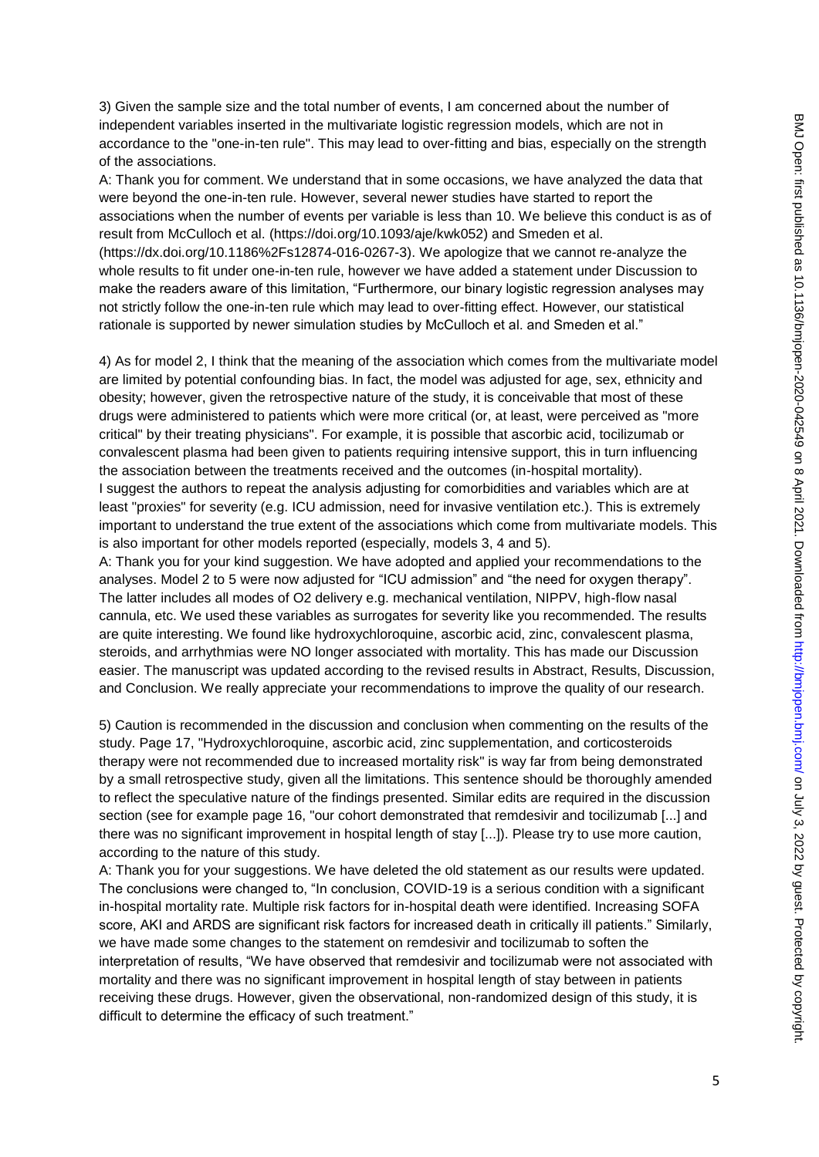3) Given the sample size and the total number of events, I am concerned about the number of independent variables inserted in the multivariate logistic regression models, which are not in accordance to the "one-in-ten rule". This may lead to over-fitting and bias, especially on the strength of the associations.

A: Thank you for comment. We understand that in some occasions, we have analyzed the data that were beyond the one-in-ten rule. However, several newer studies have started to report the associations when the number of events per variable is less than 10. We believe this conduct is as of result from McCulloch et al. (https://doi.org/10.1093/aje/kwk052) and Smeden et al. (https://dx.doi.org/10.1186%2Fs12874-016-0267-3). We apologize that we cannot re-analyze the whole results to fit under one-in-ten rule, however we have added a statement under Discussion to make the readers aware of this limitation, "Furthermore, our binary logistic regression analyses may not strictly follow the one-in-ten rule which may lead to over-fitting effect. However, our statistical rationale is supported by newer simulation studies by McCulloch et al. and Smeden et al."

4) As for model 2, I think that the meaning of the association which comes from the multivariate model are limited by potential confounding bias. In fact, the model was adjusted for age, sex, ethnicity and obesity; however, given the retrospective nature of the study, it is conceivable that most of these drugs were administered to patients which were more critical (or, at least, were perceived as "more critical" by their treating physicians". For example, it is possible that ascorbic acid, tocilizumab or convalescent plasma had been given to patients requiring intensive support, this in turn influencing the association between the treatments received and the outcomes (in-hospital mortality). I suggest the authors to repeat the analysis adjusting for comorbidities and variables which are at least "proxies" for severity (e.g. ICU admission, need for invasive ventilation etc.). This is extremely important to understand the true extent of the associations which come from multivariate models. This is also important for other models reported (especially, models 3, 4 and 5).

A: Thank you for your kind suggestion. We have adopted and applied your recommendations to the analyses. Model 2 to 5 were now adjusted for "ICU admission" and "the need for oxygen therapy". The latter includes all modes of O2 delivery e.g. mechanical ventilation, NIPPV, high-flow nasal cannula, etc. We used these variables as surrogates for severity like you recommended. The results are quite interesting. We found like hydroxychloroquine, ascorbic acid, zinc, convalescent plasma, steroids, and arrhythmias were NO longer associated with mortality. This has made our Discussion easier. The manuscript was updated according to the revised results in Abstract, Results, Discussion, and Conclusion. We really appreciate your recommendations to improve the quality of our research.

5) Caution is recommended in the discussion and conclusion when commenting on the results of the study. Page 17, "Hydroxychloroquine, ascorbic acid, zinc supplementation, and corticosteroids therapy were not recommended due to increased mortality risk" is way far from being demonstrated by a small retrospective study, given all the limitations. This sentence should be thoroughly amended to reflect the speculative nature of the findings presented. Similar edits are required in the discussion section (see for example page 16, "our cohort demonstrated that remdesivir and tocilizumab [...] and there was no significant improvement in hospital length of stay [...]). Please try to use more caution, according to the nature of this study.

A: Thank you for your suggestions. We have deleted the old statement as our results were updated. The conclusions were changed to, "In conclusion, COVID-19 is a serious condition with a significant in-hospital mortality rate. Multiple risk factors for in-hospital death were identified. Increasing SOFA score, AKI and ARDS are significant risk factors for increased death in critically ill patients." Similarly, we have made some changes to the statement on remdesivir and tocilizumab to soften the interpretation of results, "We have observed that remdesivir and tocilizumab were not associated with mortality and there was no significant improvement in hospital length of stay between in patients receiving these drugs. However, given the observational, non-randomized design of this study, it is difficult to determine the efficacy of such treatment."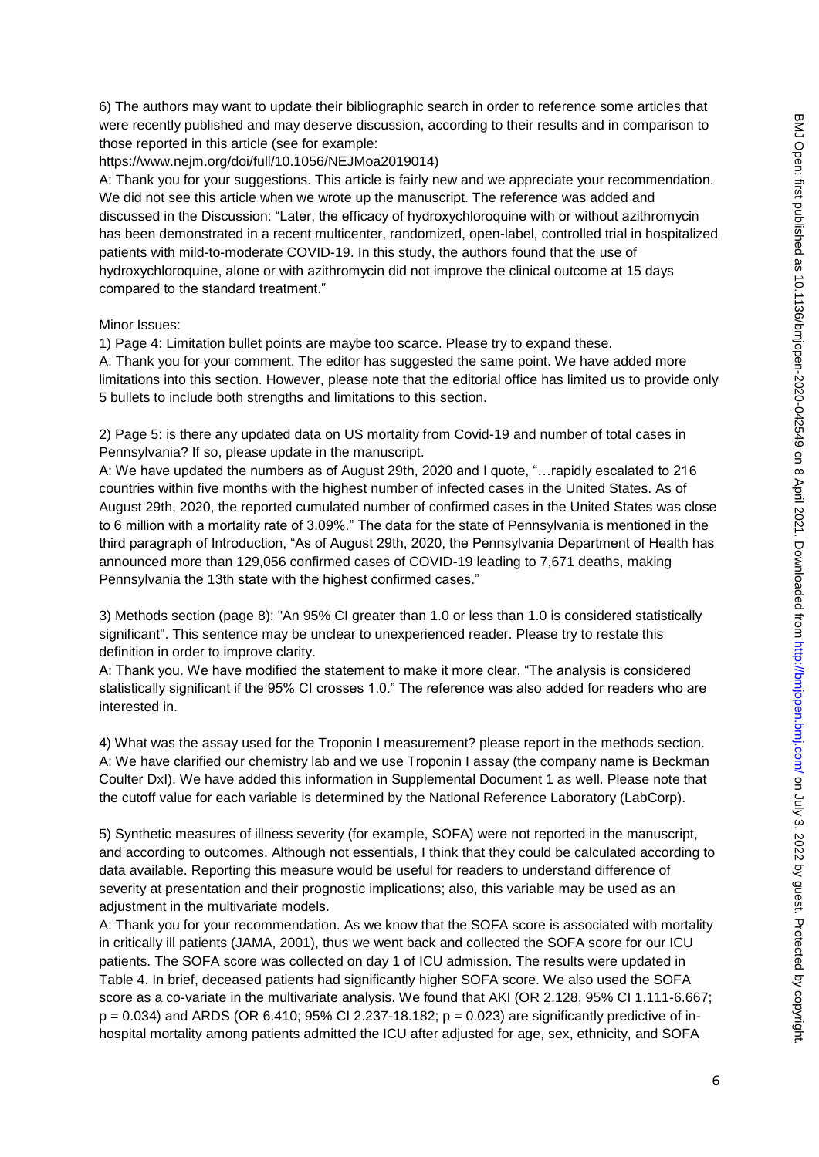6) The authors may want to update their bibliographic search in order to reference some articles that were recently published and may deserve discussion, according to their results and in comparison to those reported in this article (see for example:

https://www.nejm.org/doi/full/10.1056/NEJMoa2019014)

A: Thank you for your suggestions. This article is fairly new and we appreciate your recommendation. We did not see this article when we wrote up the manuscript. The reference was added and discussed in the Discussion: "Later, the efficacy of hydroxychloroquine with or without azithromycin has been demonstrated in a recent multicenter, randomized, open-label, controlled trial in hospitalized patients with mild-to-moderate COVID-19. In this study, the authors found that the use of hydroxychloroquine, alone or with azithromycin did not improve the clinical outcome at 15 days compared to the standard treatment."

### Minor Issues:

1) Page 4: Limitation bullet points are maybe too scarce. Please try to expand these.

A: Thank you for your comment. The editor has suggested the same point. We have added more limitations into this section. However, please note that the editorial office has limited us to provide only 5 bullets to include both strengths and limitations to this section.

2) Page 5: is there any updated data on US mortality from Covid-19 and number of total cases in Pennsylvania? If so, please update in the manuscript.

A: We have updated the numbers as of August 29th, 2020 and I quote, "…rapidly escalated to 216 countries within five months with the highest number of infected cases in the United States. As of August 29th, 2020, the reported cumulated number of confirmed cases in the United States was close to 6 million with a mortality rate of 3.09%." The data for the state of Pennsylvania is mentioned in the third paragraph of Introduction, "As of August 29th, 2020, the Pennsylvania Department of Health has announced more than 129,056 confirmed cases of COVID-19 leading to 7,671 deaths, making Pennsylvania the 13th state with the highest confirmed cases."

3) Methods section (page 8): "An 95% CI greater than 1.0 or less than 1.0 is considered statistically significant". This sentence may be unclear to unexperienced reader. Please try to restate this definition in order to improve clarity.

A: Thank you. We have modified the statement to make it more clear, "The analysis is considered statistically significant if the 95% CI crosses 1.0." The reference was also added for readers who are interested in.

4) What was the assay used for the Troponin I measurement? please report in the methods section. A: We have clarified our chemistry lab and we use Troponin I assay (the company name is Beckman Coulter DxI). We have added this information in Supplemental Document 1 as well. Please note that the cutoff value for each variable is determined by the National Reference Laboratory (LabCorp).

5) Synthetic measures of illness severity (for example, SOFA) were not reported in the manuscript, and according to outcomes. Although not essentials, I think that they could be calculated according to data available. Reporting this measure would be useful for readers to understand difference of severity at presentation and their prognostic implications; also, this variable may be used as an adjustment in the multivariate models.

A: Thank you for your recommendation. As we know that the SOFA score is associated with mortality in critically ill patients (JAMA, 2001), thus we went back and collected the SOFA score for our ICU patients. The SOFA score was collected on day 1 of ICU admission. The results were updated in Table 4. In brief, deceased patients had significantly higher SOFA score. We also used the SOFA score as a co-variate in the multivariate analysis. We found that AKI (OR 2.128, 95% CI 1.111-6.667;  $p = 0.034$ ) and ARDS (OR 6.410; 95% CI 2.237-18.182;  $p = 0.023$ ) are significantly predictive of inhospital mortality among patients admitted the ICU after adjusted for age, sex, ethnicity, and SOFA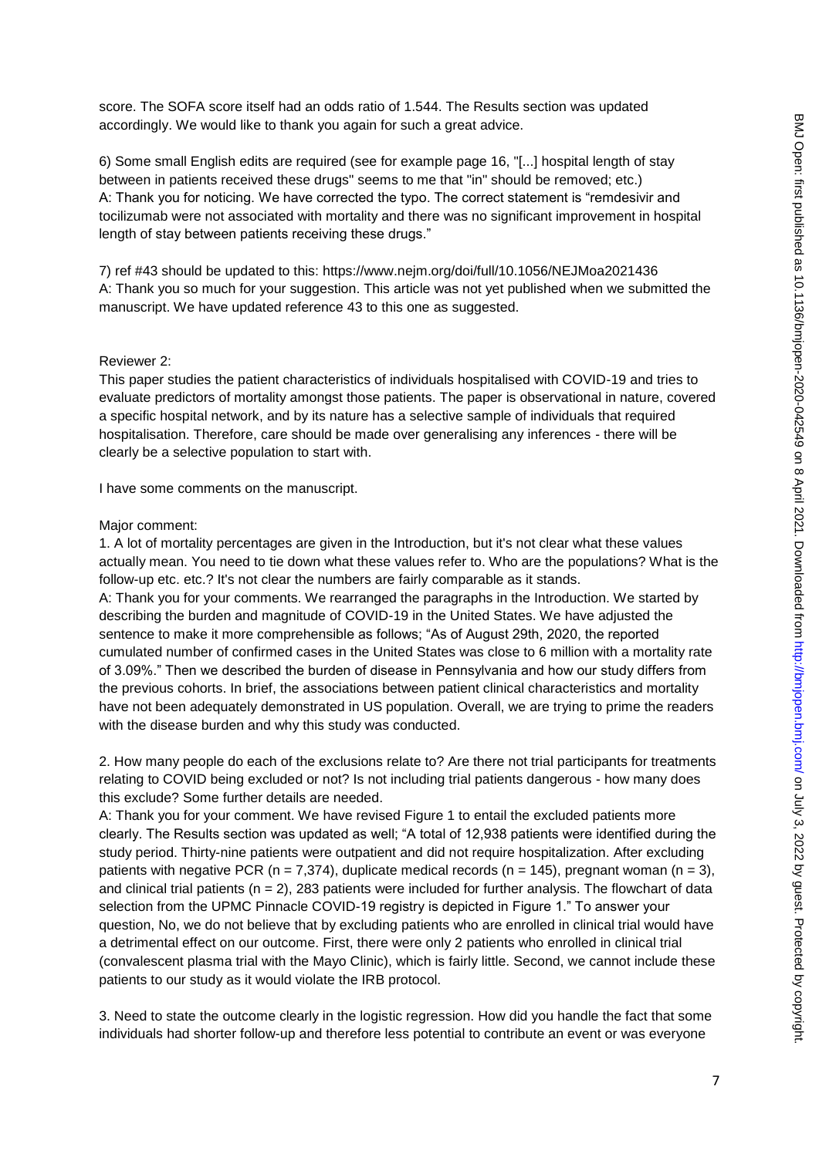score. The SOFA score itself had an odds ratio of 1.544. The Results section was updated accordingly. We would like to thank you again for such a great advice.

6) Some small English edits are required (see for example page 16, "[...] hospital length of stay between in patients received these drugs" seems to me that "in" should be removed; etc.) A: Thank you for noticing. We have corrected the typo. The correct statement is "remdesivir and tocilizumab were not associated with mortality and there was no significant improvement in hospital length of stay between patients receiving these drugs."

7) ref #43 should be updated to this: https://www.nejm.org/doi/full/10.1056/NEJMoa2021436 A: Thank you so much for your suggestion. This article was not yet published when we submitted the manuscript. We have updated reference 43 to this one as suggested.

### Reviewer 2:

This paper studies the patient characteristics of individuals hospitalised with COVID-19 and tries to evaluate predictors of mortality amongst those patients. The paper is observational in nature, covered a specific hospital network, and by its nature has a selective sample of individuals that required hospitalisation. Therefore, care should be made over generalising any inferences - there will be clearly be a selective population to start with.

I have some comments on the manuscript.

#### Major comment:

1. A lot of mortality percentages are given in the Introduction, but it's not clear what these values actually mean. You need to tie down what these values refer to. Who are the populations? What is the follow-up etc. etc.? It's not clear the numbers are fairly comparable as it stands. A: Thank you for your comments. We rearranged the paragraphs in the Introduction. We started by describing the burden and magnitude of COVID-19 in the United States. We have adjusted the sentence to make it more comprehensible as follows; "As of August 29th, 2020, the reported cumulated number of confirmed cases in the United States was close to 6 million with a mortality rate of 3.09%." Then we described the burden of disease in Pennsylvania and how our study differs from the previous cohorts. In brief, the associations between patient clinical characteristics and mortality have not been adequately demonstrated in US population. Overall, we are trying to prime the readers with the disease burden and why this study was conducted.

2. How many people do each of the exclusions relate to? Are there not trial participants for treatments relating to COVID being excluded or not? Is not including trial patients dangerous - how many does this exclude? Some further details are needed.

A: Thank you for your comment. We have revised Figure 1 to entail the excluded patients more clearly. The Results section was updated as well; "A total of 12,938 patients were identified during the study period. Thirty-nine patients were outpatient and did not require hospitalization. After excluding patients with negative PCR ( $n = 7,374$ ), duplicate medical records ( $n = 145$ ), pregnant woman ( $n = 3$ ), and clinical trial patients ( $n = 2$ ), 283 patients were included for further analysis. The flowchart of data selection from the UPMC Pinnacle COVID-19 registry is depicted in Figure 1." To answer your question, No, we do not believe that by excluding patients who are enrolled in clinical trial would have a detrimental effect on our outcome. First, there were only 2 patients who enrolled in clinical trial (convalescent plasma trial with the Mayo Clinic), which is fairly little. Second, we cannot include these patients to our study as it would violate the IRB protocol.

3. Need to state the outcome clearly in the logistic regression. How did you handle the fact that some individuals had shorter follow-up and therefore less potential to contribute an event or was everyone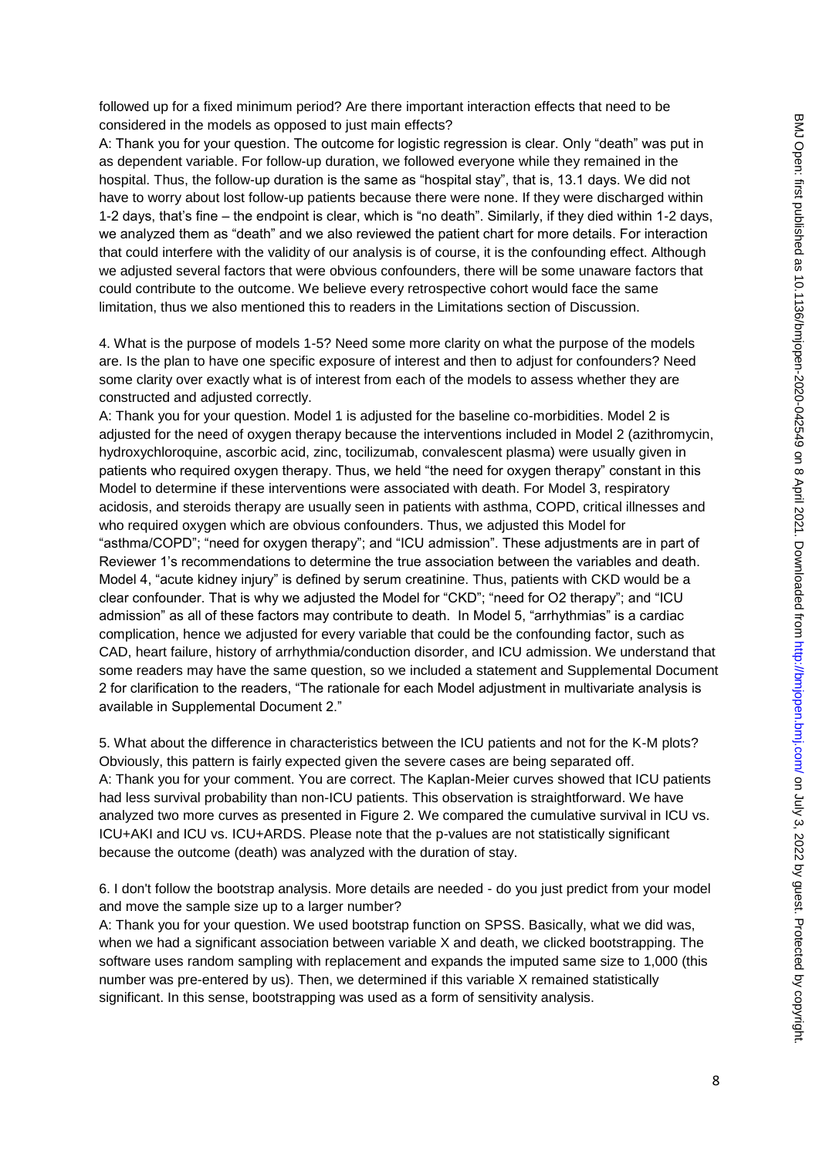followed up for a fixed minimum period? Are there important interaction effects that need to be considered in the models as opposed to just main effects?

A: Thank you for your question. The outcome for logistic regression is clear. Only "death" was put in as dependent variable. For follow-up duration, we followed everyone while they remained in the hospital. Thus, the follow-up duration is the same as "hospital stay", that is, 13.1 days. We did not have to worry about lost follow-up patients because there were none. If they were discharged within 1-2 days, that"s fine – the endpoint is clear, which is "no death". Similarly, if they died within 1-2 days, we analyzed them as "death" and we also reviewed the patient chart for more details. For interaction that could interfere with the validity of our analysis is of course, it is the confounding effect. Although we adjusted several factors that were obvious confounders, there will be some unaware factors that could contribute to the outcome. We believe every retrospective cohort would face the same limitation, thus we also mentioned this to readers in the Limitations section of Discussion.

4. What is the purpose of models 1-5? Need some more clarity on what the purpose of the models are. Is the plan to have one specific exposure of interest and then to adjust for confounders? Need some clarity over exactly what is of interest from each of the models to assess whether they are constructed and adjusted correctly.

A: Thank you for your question. Model 1 is adjusted for the baseline co-morbidities. Model 2 is adjusted for the need of oxygen therapy because the interventions included in Model 2 (azithromycin, hydroxychloroquine, ascorbic acid, zinc, tocilizumab, convalescent plasma) were usually given in patients who required oxygen therapy. Thus, we held "the need for oxygen therapy" constant in this Model to determine if these interventions were associated with death. For Model 3, respiratory acidosis, and steroids therapy are usually seen in patients with asthma, COPD, critical illnesses and who required oxygen which are obvious confounders. Thus, we adjusted this Model for "asthma/COPD"; "need for oxygen therapy"; and "ICU admission". These adjustments are in part of Reviewer 1's recommendations to determine the true association between the variables and death. Model 4, "acute kidney injury" is defined by serum creatinine. Thus, patients with CKD would be a clear confounder. That is why we adjusted the Model for "CKD"; "need for O2 therapy"; and "ICU admission" as all of these factors may contribute to death. In Model 5, "arrhythmias" is a cardiac complication, hence we adjusted for every variable that could be the confounding factor, such as CAD, heart failure, history of arrhythmia/conduction disorder, and ICU admission. We understand that some readers may have the same question, so we included a statement and Supplemental Document 2 for clarification to the readers, "The rationale for each Model adjustment in multivariate analysis is available in Supplemental Document 2."

5. What about the difference in characteristics between the ICU patients and not for the K-M plots? Obviously, this pattern is fairly expected given the severe cases are being separated off. A: Thank you for your comment. You are correct. The Kaplan-Meier curves showed that ICU patients had less survival probability than non-ICU patients. This observation is straightforward. We have analyzed two more curves as presented in Figure 2. We compared the cumulative survival in ICU vs. ICU+AKI and ICU vs. ICU+ARDS. Please note that the p-values are not statistically significant because the outcome (death) was analyzed with the duration of stay.

6. I don't follow the bootstrap analysis. More details are needed - do you just predict from your model and move the sample size up to a larger number?

A: Thank you for your question. We used bootstrap function on SPSS. Basically, what we did was, when we had a significant association between variable X and death, we clicked bootstrapping. The software uses random sampling with replacement and expands the imputed same size to 1,000 (this number was pre-entered by us). Then, we determined if this variable X remained statistically significant. In this sense, bootstrapping was used as a form of sensitivity analysis.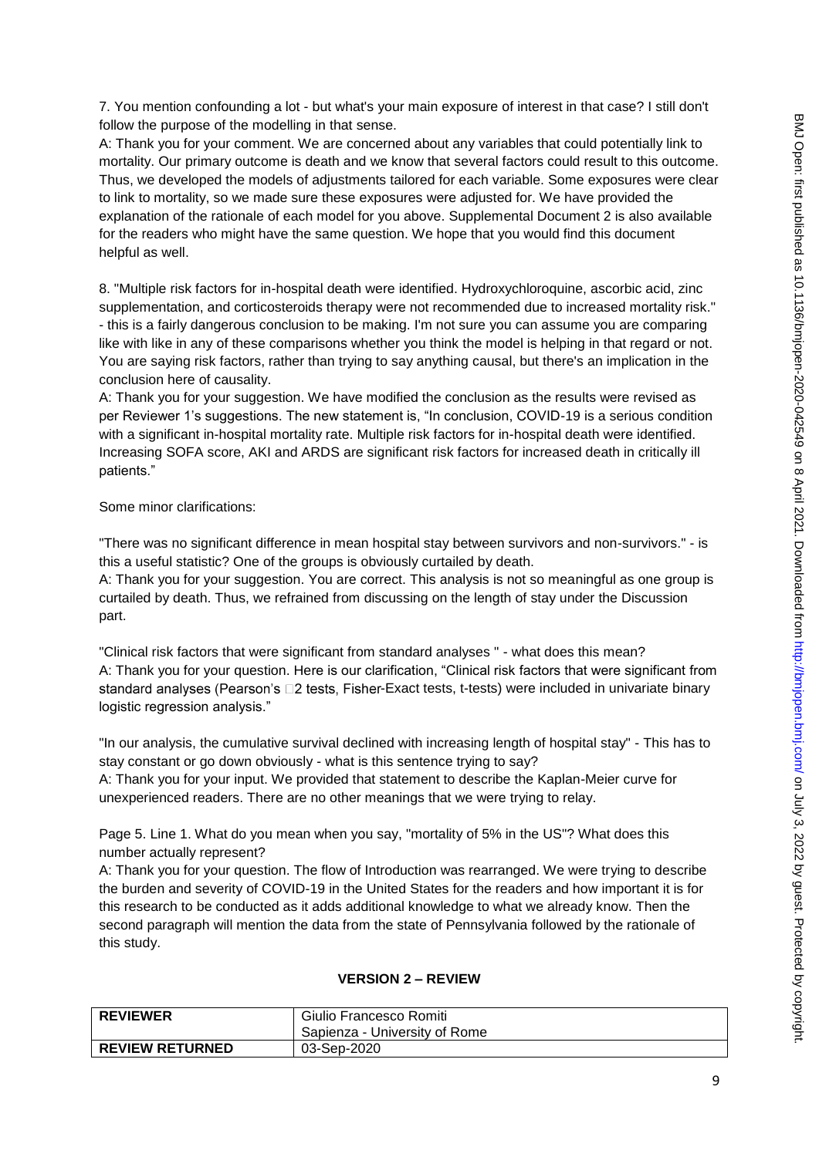7. You mention confounding a lot - but what's your main exposure of interest in that case? I still don't follow the purpose of the modelling in that sense.

A: Thank you for your comment. We are concerned about any variables that could potentially link to mortality. Our primary outcome is death and we know that several factors could result to this outcome. Thus, we developed the models of adjustments tailored for each variable. Some exposures were clear to link to mortality, so we made sure these exposures were adjusted for. We have provided the explanation of the rationale of each model for you above. Supplemental Document 2 is also available for the readers who might have the same question. We hope that you would find this document helpful as well.

8. "Multiple risk factors for in-hospital death were identified. Hydroxychloroquine, ascorbic acid, zinc supplementation, and corticosteroids therapy were not recommended due to increased mortality risk." - this is a fairly dangerous conclusion to be making. I'm not sure you can assume you are comparing like with like in any of these comparisons whether you think the model is helping in that regard or not. You are saying risk factors, rather than trying to say anything causal, but there's an implication in the conclusion here of causality.

A: Thank you for your suggestion. We have modified the conclusion as the results were revised as per Reviewer 1"s suggestions. The new statement is, "In conclusion, COVID-19 is a serious condition with a significant in-hospital mortality rate. Multiple risk factors for in-hospital death were identified. Increasing SOFA score, AKI and ARDS are significant risk factors for increased death in critically ill patients."

### Some minor clarifications:

"There was no significant difference in mean hospital stay between survivors and non-survivors." - is this a useful statistic? One of the groups is obviously curtailed by death.

A: Thank you for your suggestion. You are correct. This analysis is not so meaningful as one group is curtailed by death. Thus, we refrained from discussing on the length of stay under the Discussion part.

"Clinical risk factors that were significant from standard analyses " - what does this mean? A: Thank you for your question. Here is our clarification, "Clinical risk factors that were significant from standard analyses (Pearson's  $\square$ 2 tests, Fisher-Exact tests, t-tests) were included in univariate binary logistic regression analysis."

"In our analysis, the cumulative survival declined with increasing length of hospital stay" - This has to stay constant or go down obviously - what is this sentence trying to say?

A: Thank you for your input. We provided that statement to describe the Kaplan-Meier curve for unexperienced readers. There are no other meanings that we were trying to relay.

Page 5. Line 1. What do you mean when you say, "mortality of 5% in the US"? What does this number actually represent?

A: Thank you for your question. The flow of Introduction was rearranged. We were trying to describe the burden and severity of COVID-19 in the United States for the readers and how important it is for this research to be conducted as it adds additional knowledge to what we already know. Then the second paragraph will mention the data from the state of Pennsylvania followed by the rationale of this study.

### **VERSION 2 – REVIEW**

| <b>REVIEWER</b>        | Giulio Francesco Romiti       |
|------------------------|-------------------------------|
|                        | Sapienza - University of Rome |
| <b>REVIEW RETURNED</b> | 03-Sep-2020                   |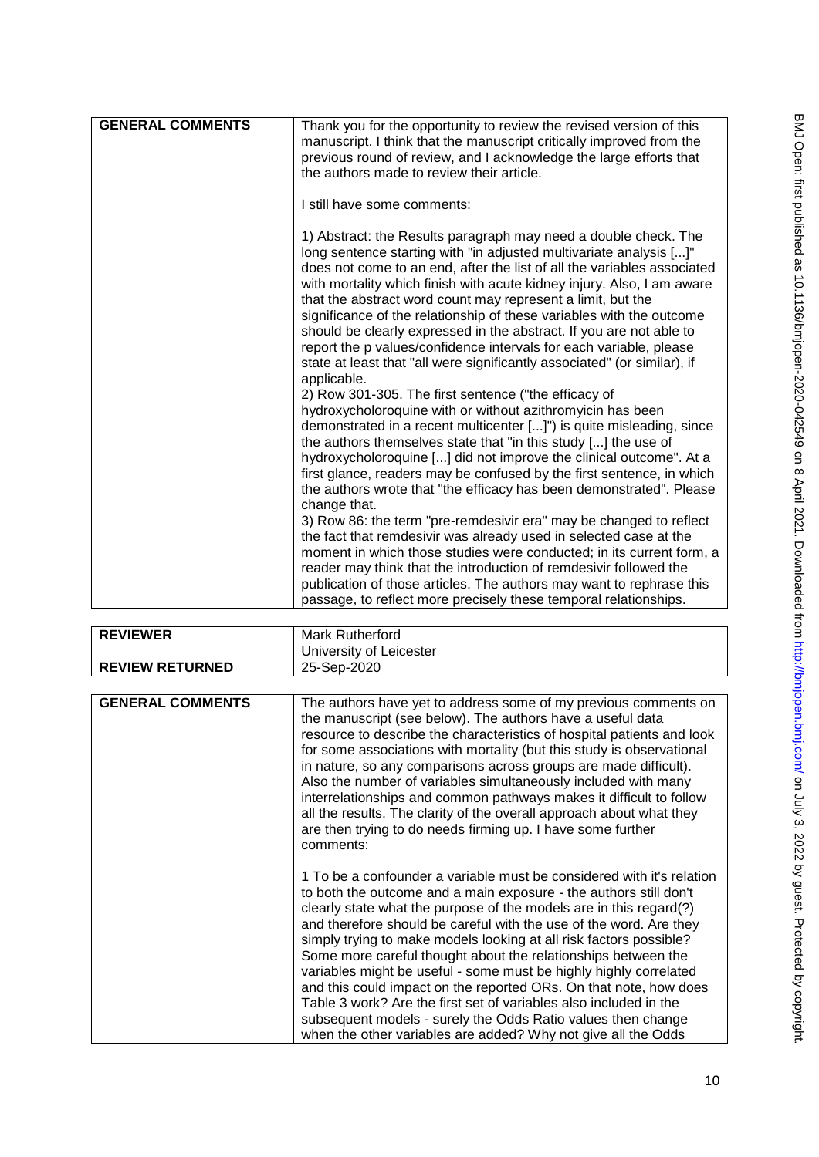| <b>GENERAL COMMENTS</b> | Thank you for the opportunity to review the revised version of this<br>manuscript. I think that the manuscript critically improved from the<br>previous round of review, and I acknowledge the large efforts that<br>the authors made to review their article.                                                                                                                                                                                                                                                                                                                                                                                             |
|-------------------------|------------------------------------------------------------------------------------------------------------------------------------------------------------------------------------------------------------------------------------------------------------------------------------------------------------------------------------------------------------------------------------------------------------------------------------------------------------------------------------------------------------------------------------------------------------------------------------------------------------------------------------------------------------|
|                         | I still have some comments:                                                                                                                                                                                                                                                                                                                                                                                                                                                                                                                                                                                                                                |
|                         | 1) Abstract: the Results paragraph may need a double check. The<br>long sentence starting with "in adjusted multivariate analysis []"<br>does not come to an end, after the list of all the variables associated<br>with mortality which finish with acute kidney injury. Also, I am aware<br>that the abstract word count may represent a limit, but the<br>significance of the relationship of these variables with the outcome<br>should be clearly expressed in the abstract. If you are not able to<br>report the p values/confidence intervals for each variable, please<br>state at least that "all were significantly associated" (or similar), if |
|                         | applicable.<br>2) Row 301-305. The first sentence ("the efficacy of<br>hydroxycholoroquine with or without azithromyicin has been<br>demonstrated in a recent multicenter []") is quite misleading, since<br>the authors themselves state that "in this study [] the use of<br>hydroxycholoroquine [] did not improve the clinical outcome". At a                                                                                                                                                                                                                                                                                                          |
|                         | first glance, readers may be confused by the first sentence, in which<br>the authors wrote that "the efficacy has been demonstrated". Please<br>change that.                                                                                                                                                                                                                                                                                                                                                                                                                                                                                               |
|                         | 3) Row 86: the term "pre-remdesivir era" may be changed to reflect<br>the fact that remdesivir was already used in selected case at the                                                                                                                                                                                                                                                                                                                                                                                                                                                                                                                    |
|                         | moment in which those studies were conducted; in its current form, a<br>reader may think that the introduction of remdesivir followed the<br>publication of those articles. The authors may want to rephrase this                                                                                                                                                                                                                                                                                                                                                                                                                                          |
|                         | passage, to reflect more precisely these temporal relationships.                                                                                                                                                                                                                                                                                                                                                                                                                                                                                                                                                                                           |

| <b>REVIEWER</b>        | <b>Mark Rutherford</b>  |
|------------------------|-------------------------|
|                        | University of Leicester |
| <b>REVIEW RETURNED</b> | 25-Sep-2020             |

| <b>GENERAL COMMENTS</b> | The authors have yet to address some of my previous comments on<br>the manuscript (see below). The authors have a useful data<br>resource to describe the characteristics of hospital patients and look<br>for some associations with mortality (but this study is observational<br>in nature, so any comparisons across groups are made difficult).<br>Also the number of variables simultaneously included with many<br>interrelationships and common pathways makes it difficult to follow<br>all the results. The clarity of the overall approach about what they<br>are then trying to do needs firming up. I have some further<br>comments:                                                                                                                             |
|-------------------------|-------------------------------------------------------------------------------------------------------------------------------------------------------------------------------------------------------------------------------------------------------------------------------------------------------------------------------------------------------------------------------------------------------------------------------------------------------------------------------------------------------------------------------------------------------------------------------------------------------------------------------------------------------------------------------------------------------------------------------------------------------------------------------|
|                         | 1 To be a confounder a variable must be considered with it's relation<br>to both the outcome and a main exposure - the authors still don't<br>clearly state what the purpose of the models are in this regard(?)<br>and therefore should be careful with the use of the word. Are they<br>simply trying to make models looking at all risk factors possible?<br>Some more careful thought about the relationships between the<br>variables might be useful - some must be highly highly correlated<br>and this could impact on the reported ORs. On that note, how does<br>Table 3 work? Are the first set of variables also included in the<br>subsequent models - surely the Odds Ratio values then change<br>when the other variables are added? Why not give all the Odds |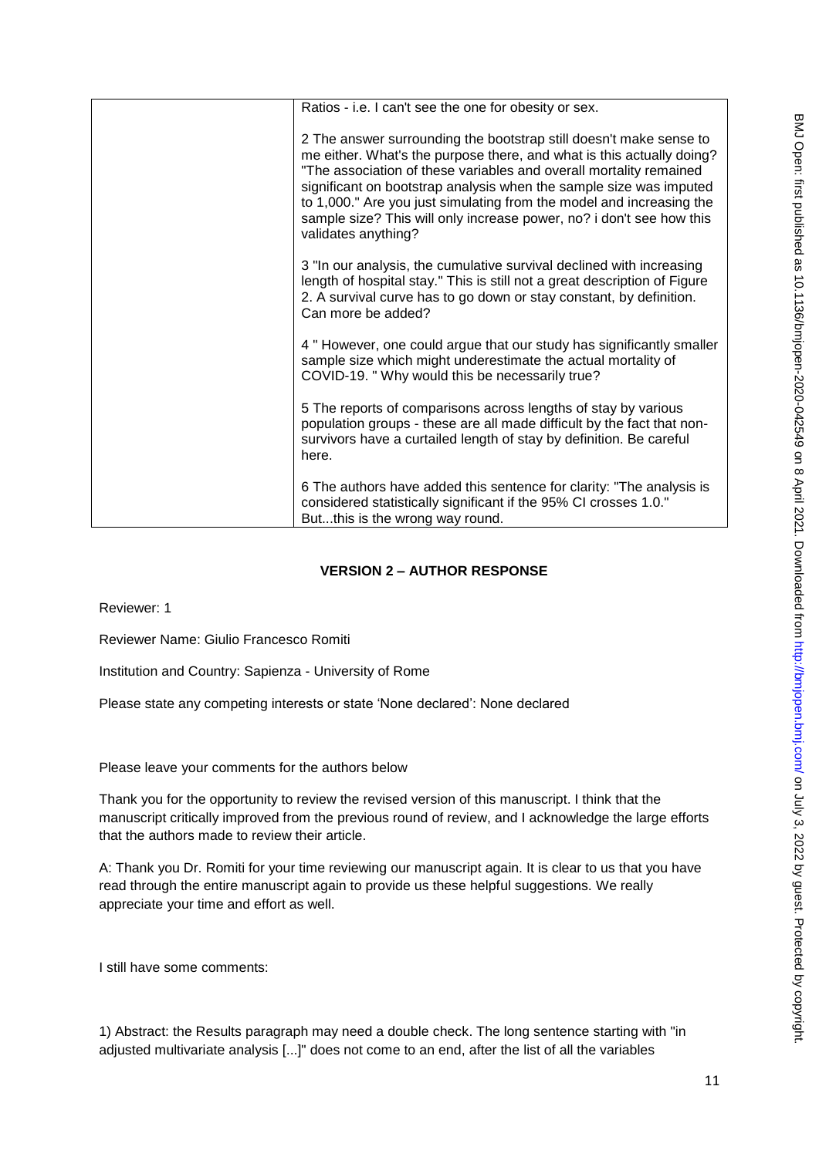| Ratios - i.e. I can't see the one for obesity or sex.                                                                                                                                                                                                                                                                                                                                                                                                          |
|----------------------------------------------------------------------------------------------------------------------------------------------------------------------------------------------------------------------------------------------------------------------------------------------------------------------------------------------------------------------------------------------------------------------------------------------------------------|
| 2 The answer surrounding the bootstrap still doesn't make sense to<br>me either. What's the purpose there, and what is this actually doing?<br>"The association of these variables and overall mortality remained<br>significant on bootstrap analysis when the sample size was imputed<br>to 1,000." Are you just simulating from the model and increasing the<br>sample size? This will only increase power, no? i don't see how this<br>validates anything? |
| 3 "In our analysis, the cumulative survival declined with increasing<br>length of hospital stay." This is still not a great description of Figure<br>2. A survival curve has to go down or stay constant, by definition.<br>Can more be added?                                                                                                                                                                                                                 |
| 4 " However, one could argue that our study has significantly smaller<br>sample size which might underestimate the actual mortality of<br>COVID-19. " Why would this be necessarily true?                                                                                                                                                                                                                                                                      |
| 5 The reports of comparisons across lengths of stay by various<br>population groups - these are all made difficult by the fact that non-<br>survivors have a curtailed length of stay by definition. Be careful<br>here.                                                                                                                                                                                                                                       |
| 6 The authors have added this sentence for clarity: "The analysis is<br>considered statistically significant if the 95% CI crosses 1.0."<br>Butthis is the wrong way round.                                                                                                                                                                                                                                                                                    |

# **VERSION 2 – AUTHOR RESPONSE**

Reviewer: 1

Reviewer Name: Giulio Francesco Romiti

Institution and Country: Sapienza - University of Rome

Please state any competing interests or state "None declared": None declared

Please leave your comments for the authors below

Thank you for the opportunity to review the revised version of this manuscript. I think that the manuscript critically improved from the previous round of review, and I acknowledge the large efforts that the authors made to review their article.

A: Thank you Dr. Romiti for your time reviewing our manuscript again. It is clear to us that you have read through the entire manuscript again to provide us these helpful suggestions. We really appreciate your time and effort as well.

I still have some comments:

1) Abstract: the Results paragraph may need a double check. The long sentence starting with "in adjusted multivariate analysis [...]" does not come to an end, after the list of all the variables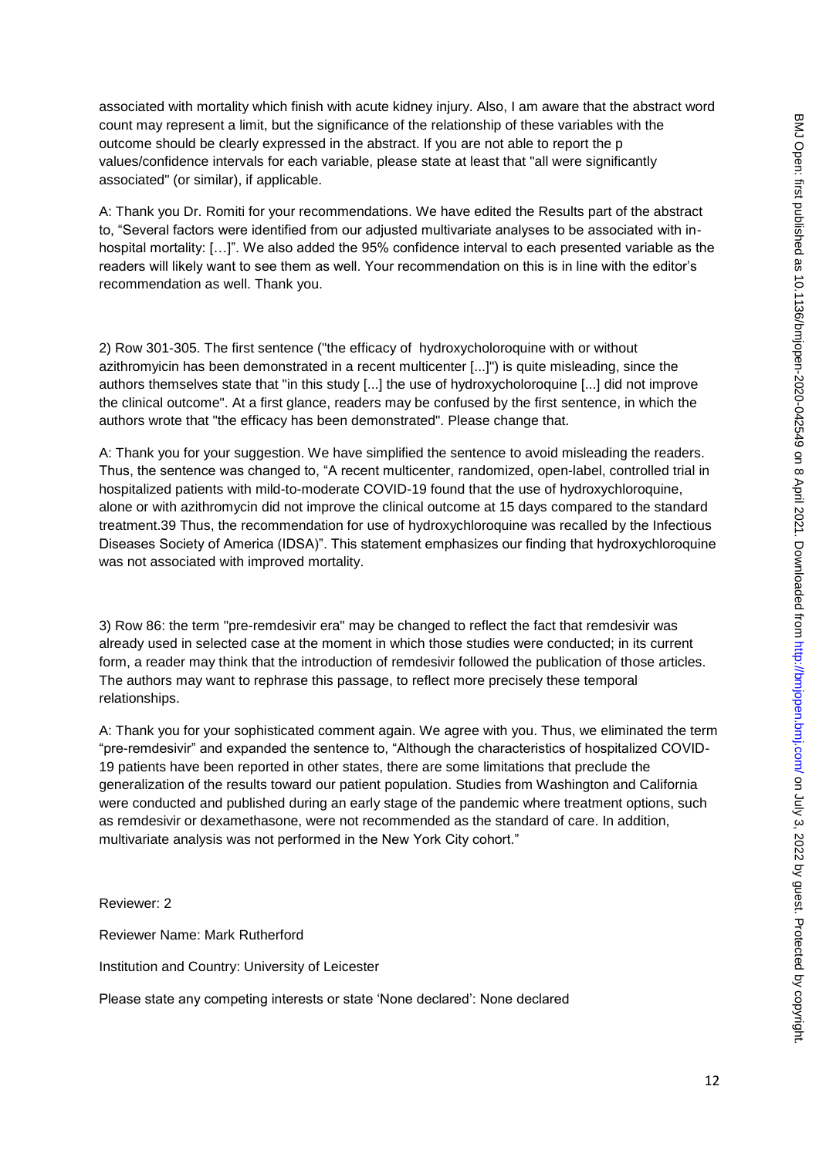associated with mortality which finish with acute kidney injury. Also, I am aware that the abstract word count may represent a limit, but the significance of the relationship of these variables with the outcome should be clearly expressed in the abstract. If you are not able to report the p values/confidence intervals for each variable, please state at least that "all were significantly associated" (or similar), if applicable.

A: Thank you Dr. Romiti for your recommendations. We have edited the Results part of the abstract to, "Several factors were identified from our adjusted multivariate analyses to be associated with inhospital mortality: […]". We also added the 95% confidence interval to each presented variable as the readers will likely want to see them as well. Your recommendation on this is in line with the editor"s recommendation as well. Thank you.

2) Row 301-305. The first sentence ("the efficacy of hydroxycholoroquine with or without azithromyicin has been demonstrated in a recent multicenter [...]") is quite misleading, since the authors themselves state that "in this study [...] the use of hydroxycholoroquine [...] did not improve the clinical outcome". At a first glance, readers may be confused by the first sentence, in which the authors wrote that "the efficacy has been demonstrated". Please change that.

A: Thank you for your suggestion. We have simplified the sentence to avoid misleading the readers. Thus, the sentence was changed to, "A recent multicenter, randomized, open-label, controlled trial in hospitalized patients with mild-to-moderate COVID-19 found that the use of hydroxychloroquine, alone or with azithromycin did not improve the clinical outcome at 15 days compared to the standard treatment.39 Thus, the recommendation for use of hydroxychloroquine was recalled by the Infectious Diseases Society of America (IDSA)". This statement emphasizes our finding that hydroxychloroquine was not associated with improved mortality.

3) Row 86: the term "pre-remdesivir era" may be changed to reflect the fact that remdesivir was already used in selected case at the moment in which those studies were conducted; in its current form, a reader may think that the introduction of remdesivir followed the publication of those articles. The authors may want to rephrase this passage, to reflect more precisely these temporal relationships.

A: Thank you for your sophisticated comment again. We agree with you. Thus, we eliminated the term "pre-remdesivir" and expanded the sentence to, "Although the characteristics of hospitalized COVID-19 patients have been reported in other states, there are some limitations that preclude the generalization of the results toward our patient population. Studies from Washington and California were conducted and published during an early stage of the pandemic where treatment options, such as remdesivir or dexamethasone, were not recommended as the standard of care. In addition, multivariate analysis was not performed in the New York City cohort."

Reviewer: 2

Reviewer Name: Mark Rutherford

Institution and Country: University of Leicester

Please state any competing interests or state "None declared": None declared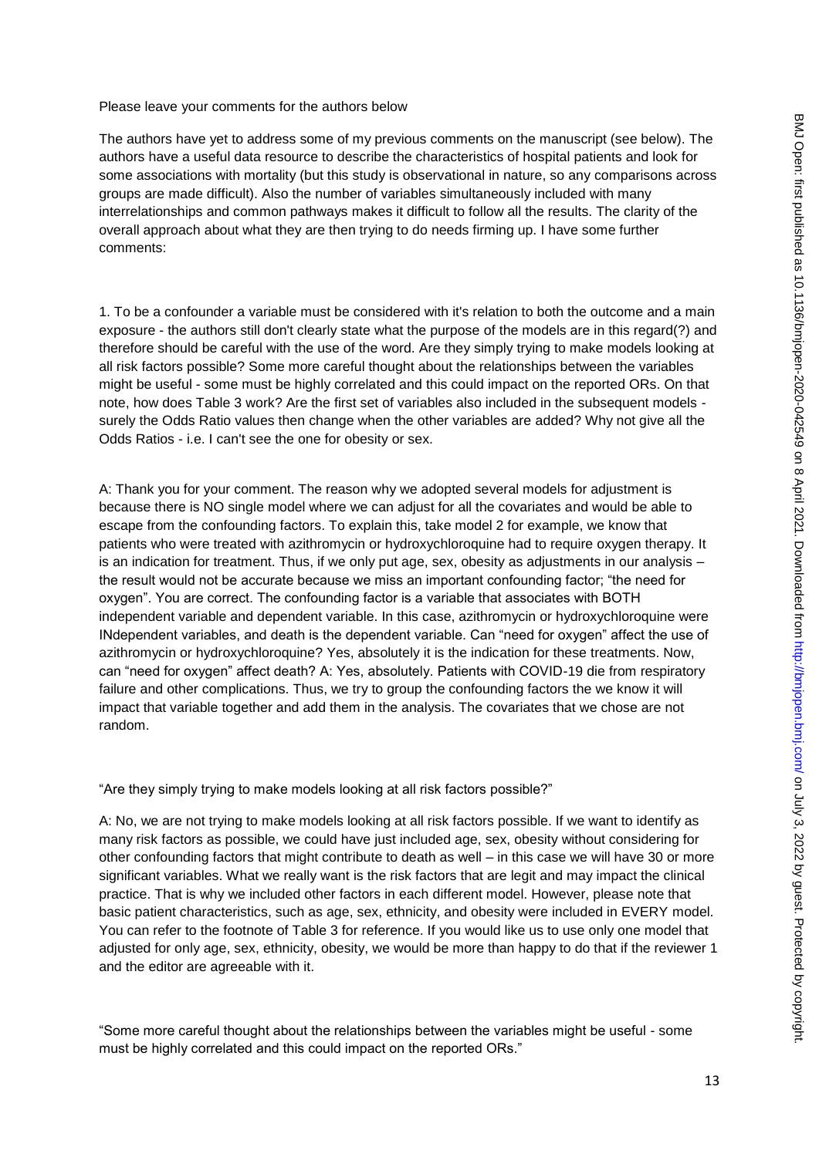Please leave your comments for the authors below

The authors have yet to address some of my previous comments on the manuscript (see below). The authors have a useful data resource to describe the characteristics of hospital patients and look for some associations with mortality (but this study is observational in nature, so any comparisons across groups are made difficult). Also the number of variables simultaneously included with many interrelationships and common pathways makes it difficult to follow all the results. The clarity of the overall approach about what they are then trying to do needs firming up. I have some further comments:

1. To be a confounder a variable must be considered with it's relation to both the outcome and a main exposure - the authors still don't clearly state what the purpose of the models are in this regard(?) and therefore should be careful with the use of the word. Are they simply trying to make models looking at all risk factors possible? Some more careful thought about the relationships between the variables might be useful - some must be highly correlated and this could impact on the reported ORs. On that note, how does Table 3 work? Are the first set of variables also included in the subsequent models surely the Odds Ratio values then change when the other variables are added? Why not give all the Odds Ratios - i.e. I can't see the one for obesity or sex.

A: Thank you for your comment. The reason why we adopted several models for adjustment is because there is NO single model where we can adjust for all the covariates and would be able to escape from the confounding factors. To explain this, take model 2 for example, we know that patients who were treated with azithromycin or hydroxychloroquine had to require oxygen therapy. It is an indication for treatment. Thus, if we only put age, sex, obesity as adjustments in our analysis – the result would not be accurate because we miss an important confounding factor; "the need for oxygen". You are correct. The confounding factor is a variable that associates with BOTH independent variable and dependent variable. In this case, azithromycin or hydroxychloroquine were INdependent variables, and death is the dependent variable. Can "need for oxygen" affect the use of azithromycin or hydroxychloroquine? Yes, absolutely it is the indication for these treatments. Now, can "need for oxygen" affect death? A: Yes, absolutely. Patients with COVID-19 die from respiratory failure and other complications. Thus, we try to group the confounding factors the we know it will impact that variable together and add them in the analysis. The covariates that we chose are not random.

"Are they simply trying to make models looking at all risk factors possible?"

A: No, we are not trying to make models looking at all risk factors possible. If we want to identify as many risk factors as possible, we could have just included age, sex, obesity without considering for other confounding factors that might contribute to death as well – in this case we will have 30 or more significant variables. What we really want is the risk factors that are legit and may impact the clinical practice. That is why we included other factors in each different model. However, please note that basic patient characteristics, such as age, sex, ethnicity, and obesity were included in EVERY model. You can refer to the footnote of Table 3 for reference. If you would like us to use only one model that adjusted for only age, sex, ethnicity, obesity, we would be more than happy to do that if the reviewer 1 and the editor are agreeable with it.

"Some more careful thought about the relationships between the variables might be useful - some must be highly correlated and this could impact on the reported ORs."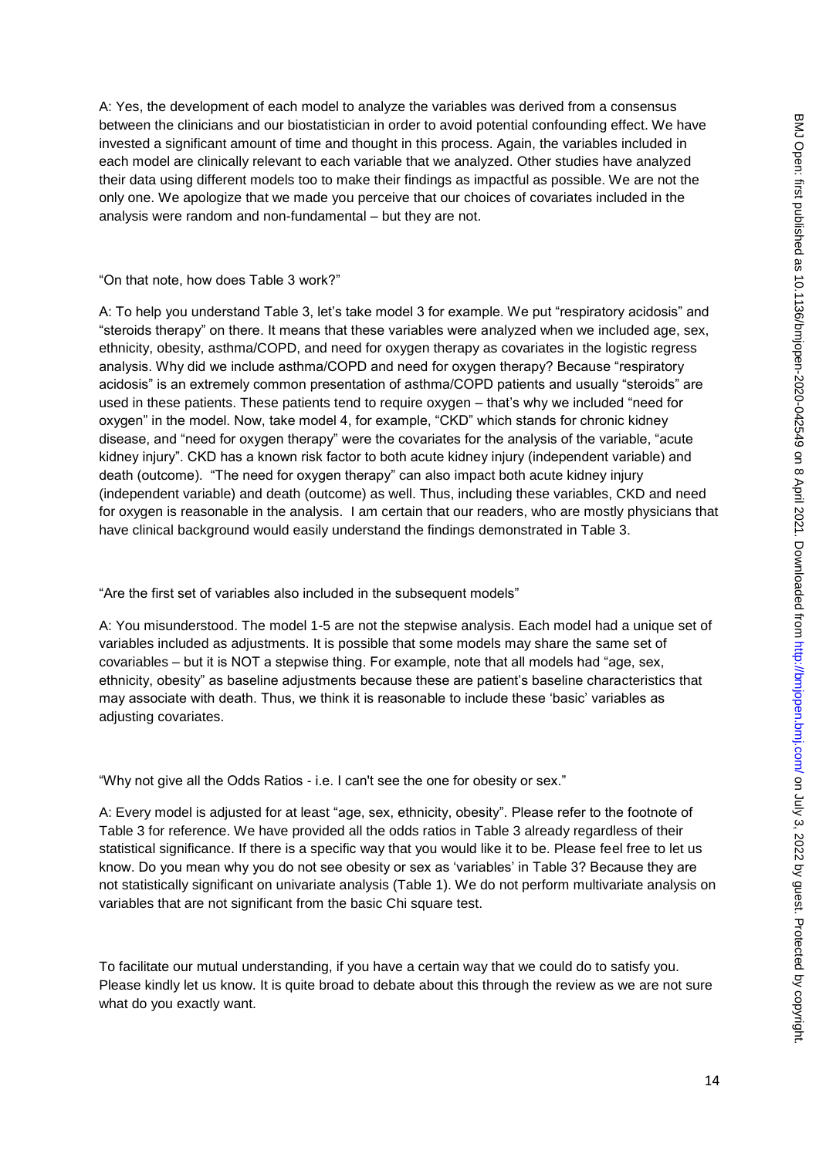A: Yes, the development of each model to analyze the variables was derived from a consensus between the clinicians and our biostatistician in order to avoid potential confounding effect. We have invested a significant amount of time and thought in this process. Again, the variables included in each model are clinically relevant to each variable that we analyzed. Other studies have analyzed their data using different models too to make their findings as impactful as possible. We are not the only one. We apologize that we made you perceive that our choices of covariates included in the analysis were random and non-fundamental – but they are not.

"On that note, how does Table 3 work?"

A: To help you understand Table 3, let"s take model 3 for example. We put "respiratory acidosis" and "steroids therapy" on there. It means that these variables were analyzed when we included age, sex, ethnicity, obesity, asthma/COPD, and need for oxygen therapy as covariates in the logistic regress analysis. Why did we include asthma/COPD and need for oxygen therapy? Because "respiratory acidosis" is an extremely common presentation of asthma/COPD patients and usually "steroids" are used in these patients. These patients tend to require oxygen – that"s why we included "need for oxygen" in the model. Now, take model 4, for example, "CKD" which stands for chronic kidney disease, and "need for oxygen therapy" were the covariates for the analysis of the variable, "acute kidney injury". CKD has a known risk factor to both acute kidney injury (independent variable) and death (outcome). "The need for oxygen therapy" can also impact both acute kidney injury (independent variable) and death (outcome) as well. Thus, including these variables, CKD and need for oxygen is reasonable in the analysis. I am certain that our readers, who are mostly physicians that have clinical background would easily understand the findings demonstrated in Table 3.

"Are the first set of variables also included in the subsequent models"

A: You misunderstood. The model 1-5 are not the stepwise analysis. Each model had a unique set of variables included as adjustments. It is possible that some models may share the same set of covariables – but it is NOT a stepwise thing. For example, note that all models had "age, sex, ethnicity, obesity" as baseline adjustments because these are patient"s baseline characteristics that may associate with death. Thus, we think it is reasonable to include these "basic" variables as adjusting covariates.

"Why not give all the Odds Ratios - i.e. I can't see the one for obesity or sex."

A: Every model is adjusted for at least "age, sex, ethnicity, obesity". Please refer to the footnote of Table 3 for reference. We have provided all the odds ratios in Table 3 already regardless of their statistical significance. If there is a specific way that you would like it to be. Please feel free to let us know. Do you mean why you do not see obesity or sex as "variables" in Table 3? Because they are not statistically significant on univariate analysis (Table 1). We do not perform multivariate analysis on variables that are not significant from the basic Chi square test.

To facilitate our mutual understanding, if you have a certain way that we could do to satisfy you. Please kindly let us know. It is quite broad to debate about this through the review as we are not sure what do you exactly want.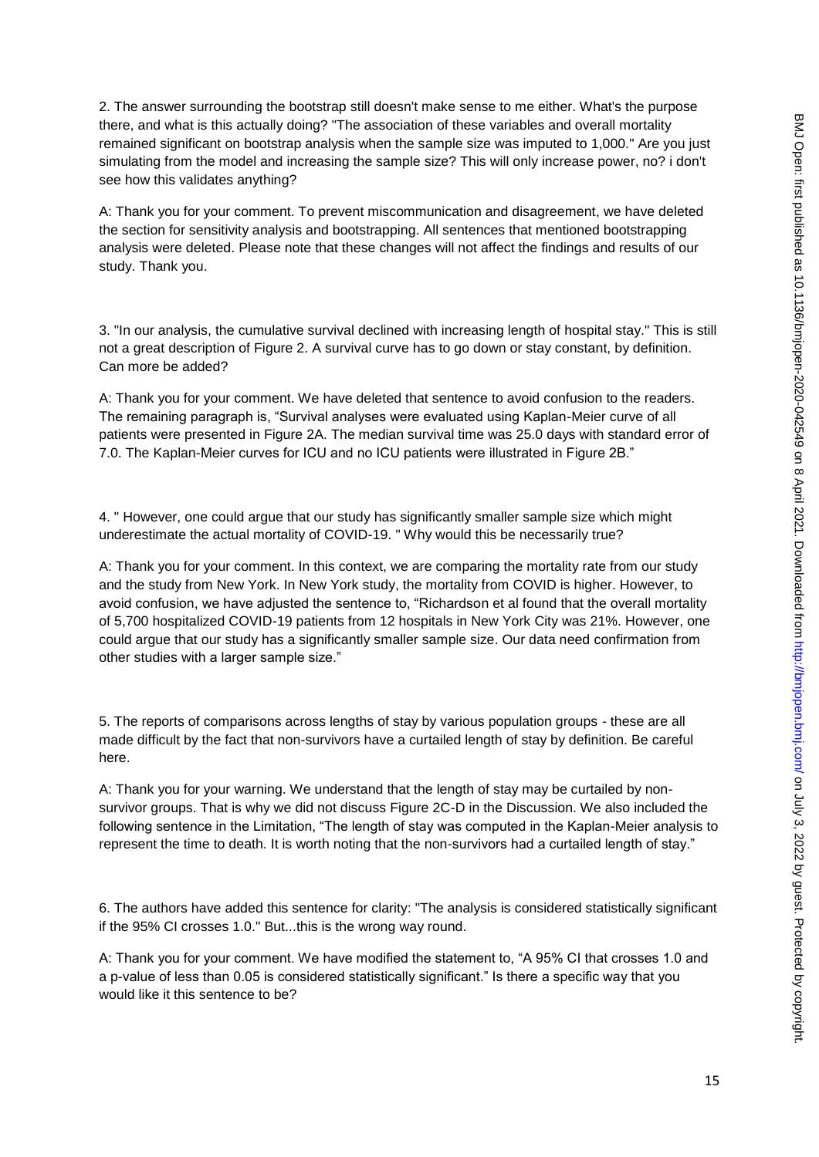2. The answer surrounding the bootstrap still doesn't make sense to me either. What's the purpose there, and what is this actually doing? "The association of these variables and overall mortality remained significant on bootstrap analysis when the sample size was imputed to 1,000." Are you just simulating from the model and increasing the sample size? This will only increase power, no? i don't see how this validates anything?

A: Thank you for your comment. To prevent miscommunication and disagreement, we have deleted the section for sensitivity analysis and bootstrapping. All sentences that mentioned bootstrapping analysis were deleted. Please note that these changes will not affect the findings and results of our study. Thank you.

3. "In our analysis, the cumulative survival declined with increasing length of hospital stay." This is still not a great description of Figure 2. A survival curve has to go down or stay constant, by definition. Can more be added?

A: Thank you for your comment. We have deleted that sentence to avoid confusion to the readers. The remaining paragraph is, "Survival analyses were evaluated using Kaplan-Meier curve of all patients were presented in Figure 2A. The median survival time was 25.0 days with standard error of 7.0. The Kaplan-Meier curves for ICU and no ICU patients were illustrated in Figure 2B."

4. " However, one could argue that our study has significantly smaller sample size which might underestimate the actual mortality of COVID-19. " Why would this be necessarily true?

A: Thank you for your comment. In this context, we are comparing the mortality rate from our study and the study from New York. In New York study, the mortality from COVID is higher. However, to avoid confusion, we have adjusted the sentence to, "Richardson et al found that the overall mortality of 5,700 hospitalized COVID-19 patients from 12 hospitals in New York City was 21%. However, one could argue that our study has a significantly smaller sample size. Our data need confirmation from other studies with a larger sample size."

5. The reports of comparisons across lengths of stay by various population groups - these are all made difficult by the fact that non-survivors have a curtailed length of stay by definition. Be careful here.

A: Thank you for your warning. We understand that the length of stay may be curtailed by nonsurvivor groups. That is why we did not discuss Figure 2C-D in the Discussion. We also included the following sentence in the Limitation, "The length of stay was computed in the Kaplan-Meier analysis to represent the time to death. It is worth noting that the non-survivors had a curtailed length of stay."

6. The authors have added this sentence for clarity: "The analysis is considered statistically significant if the 95% CI crosses 1.0." But...this is the wrong way round.

A: Thank you for your comment. We have modified the statement to, "A 95% CI that crosses 1.0 and a p-value of less than 0.05 is considered statistically significant." Is there a specific way that you would like it this sentence to be?